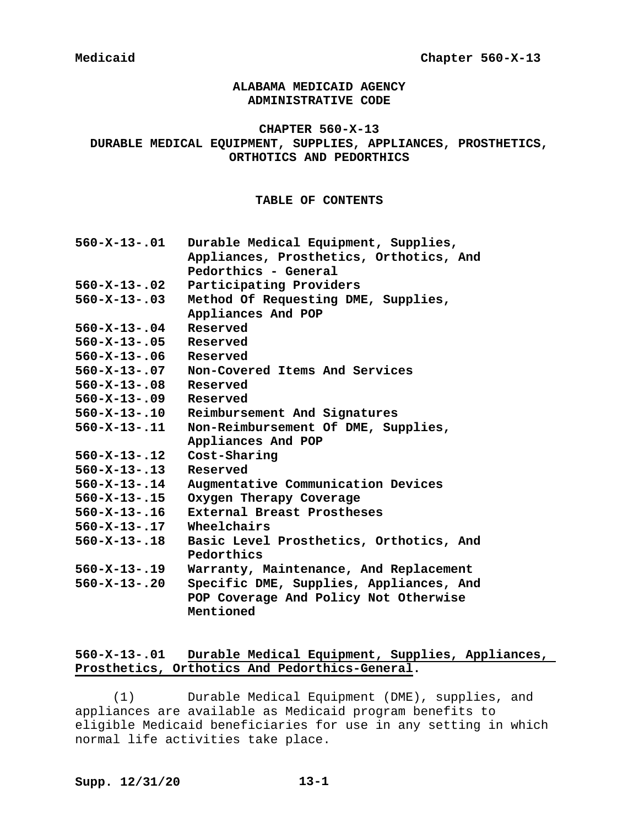# **ALABAMA MEDICAID AGENCY ADMINISTRATIVE CODE**

### **CHAPTER 560-X-13**

# **DURABLE MEDICAL EQUIPMENT, SUPPLIES, APPLIANCES, PROSTHETICS, ORTHOTICS AND PEDORTHICS**

### **TABLE OF CONTENTS**

| 560-X-13-.01         | Durable Medical Equipment, Supplies,    |
|----------------------|-----------------------------------------|
|                      | Appliances, Prosthetics, Orthotics, And |
|                      | Pedorthics - General                    |
| 560-X-13-.02         | Participating Providers                 |
| 560-X-13-.03         | Method Of Requesting DME, Supplies,     |
|                      | Appliances And POP                      |
| $560 - X - 13 - .04$ | Reserved                                |
| $560 - X - 13 - .05$ | Reserved                                |
| $560 - X - 13 - .06$ | Reserved                                |
| 560-X-13-.07         | Non-Covered Items And Services          |
| $560 - X - 13 - .08$ | Reserved                                |
| 560-X-13-.09         | Reserved                                |
| 560-X-13-.10         | Reimbursement And Signatures            |
| 560-X-13-.11         | Non-Reimbursement Of DME, Supplies,     |
|                      | Appliances And POP                      |
| 560-X-13-.12         | Cost-Sharing                            |
| $560 - X - 13 - .13$ | Reserved                                |
| 560-X-13-.14         | Augmentative Communication Devices      |
| $560 - X - 13 - .15$ | Oxygen Therapy Coverage                 |
| $560 - X - 13 - .16$ | External Breast Prostheses              |
| $560 - X - 13 - .17$ | Wheelchairs                             |
| $560 - X - 13 - .18$ | Basic Level Prosthetics, Orthotics, And |
|                      | Pedorthics                              |
| 560-X-13-.19         | Warranty, Maintenance, And Replacement  |
| $560 - X - 13 - .20$ | Specific DME, Supplies, Appliances, And |
|                      | POP Coverage And Policy Not Otherwise   |
|                      | Mentioned                               |
|                      |                                         |

# **560-X-13-.01 Durable Medical Equipment, Supplies, Appliances, Prosthetics, Orthotics And Pedorthics-General.**

(1) Durable Medical Equipment (DME), supplies, and appliances are available as Medicaid program benefits to eligible Medicaid beneficiaries for use in any setting in which normal life activities take place.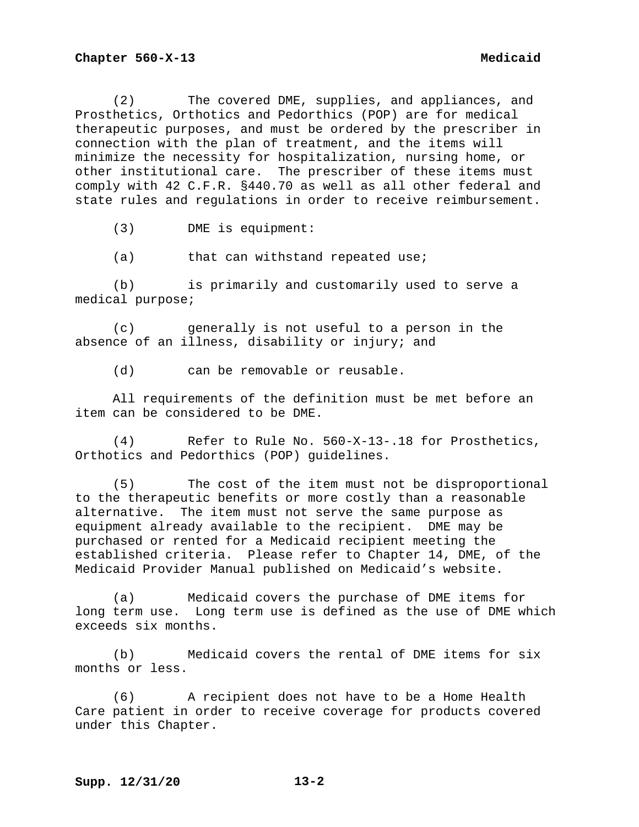(2) The covered DME, supplies, and appliances, and Prosthetics, Orthotics and Pedorthics (POP) are for medical therapeutic purposes, and must be ordered by the prescriber in connection with the plan of treatment, and the items will minimize the necessity for hospitalization, nursing home, or other institutional care. The prescriber of these items must comply with 42 C.F.R. §440.70 as well as all other federal and state rules and regulations in order to receive reimbursement.

(3) DME is equipment:

(a) that can withstand repeated use;

(b) is primarily and customarily used to serve a medical purpose;

(c) generally is not useful to a person in the absence of an illness, disability or injury; and

(d) can be removable or reusable.

All requirements of the definition must be met before an item can be considered to be DME.

(4) Refer to Rule No. 560-X-13-.18 for Prosthetics, Orthotics and Pedorthics (POP) guidelines.

(5) The cost of the item must not be disproportional to the therapeutic benefits or more costly than a reasonable alternative. The item must not serve the same purpose as equipment already available to the recipient. DME may be purchased or rented for a Medicaid recipient meeting the established criteria. Please refer to Chapter 14, DME, of the Medicaid Provider Manual published on Medicaid's website.

(a) Medicaid covers the purchase of DME items for long term use. Long term use is defined as the use of DME which exceeds six months.

(b) Medicaid covers the rental of DME items for six months or less.

(6) A recipient does not have to be a Home Health Care patient in order to receive coverage for products covered under this Chapter.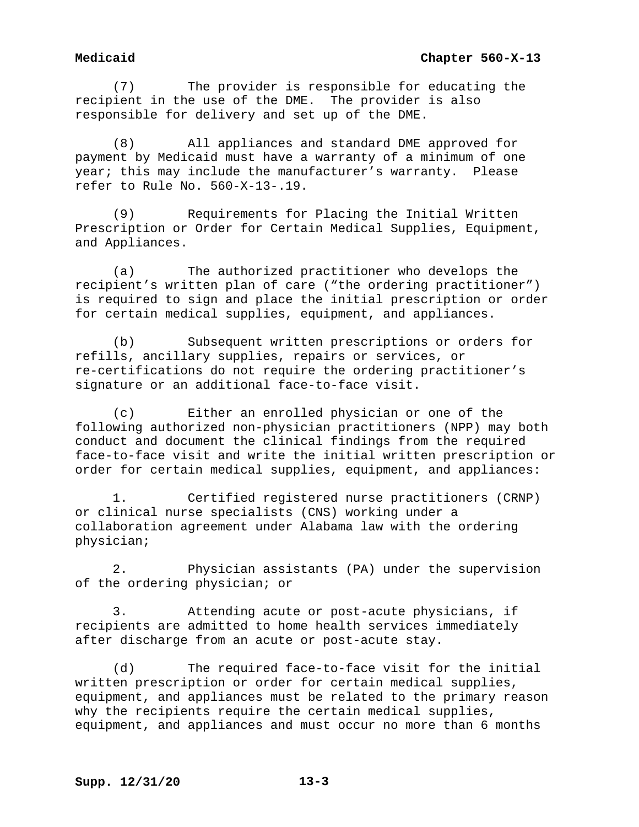(7) The provider is responsible for educating the recipient in the use of the DME. The provider is also responsible for delivery and set up of the DME.

(8) All appliances and standard DME approved for payment by Medicaid must have a warranty of a minimum of one year; this may include the manufacturer's warranty. Please refer to Rule No. 560-X-13-.19.

(9) Requirements for Placing the Initial Written Prescription or Order for Certain Medical Supplies, Equipment, and Appliances.

(a) The authorized practitioner who develops the recipient's written plan of care ("the ordering practitioner") is required to sign and place the initial prescription or order for certain medical supplies, equipment, and appliances.

(b) Subsequent written prescriptions or orders for refills, ancillary supplies, repairs or services, or re-certifications do not require the ordering practitioner's signature or an additional face-to-face visit.

(c) Either an enrolled physician or one of the following authorized non-physician practitioners (NPP) may both conduct and document the clinical findings from the required face-to-face visit and write the initial written prescription or order for certain medical supplies, equipment, and appliances:

1. Certified registered nurse practitioners (CRNP) or clinical nurse specialists (CNS) working under a collaboration agreement under Alabama law with the ordering physician;

2. Physician assistants (PA) under the supervision of the ordering physician; or

3. Attending acute or post-acute physicians, if recipients are admitted to home health services immediately after discharge from an acute or post-acute stay.

(d) The required face-to-face visit for the initial written prescription or order for certain medical supplies, equipment, and appliances must be related to the primary reason why the recipients require the certain medical supplies, equipment, and appliances and must occur no more than 6 months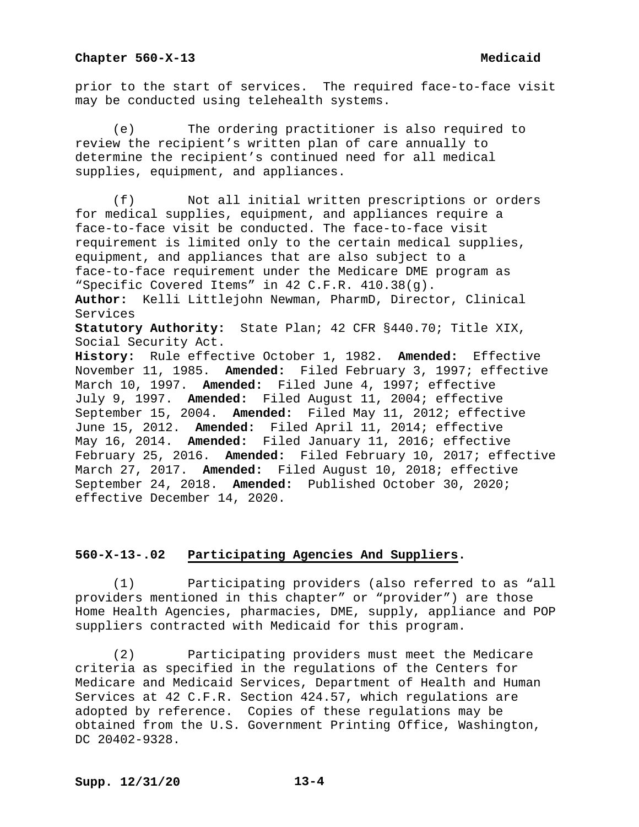prior to the start of services. The required face-to-face visit may be conducted using telehealth systems.

(e) The ordering practitioner is also required to review the recipient's written plan of care annually to determine the recipient's continued need for all medical supplies, equipment, and appliances.

(f) Not all initial written prescriptions or orders for medical supplies, equipment, and appliances require a face-to-face visit be conducted. The face-to-face visit requirement is limited only to the certain medical supplies, equipment, and appliances that are also subject to a face-to-face requirement under the Medicare DME program as "Specific Covered Items" in 42 C.F.R. 410.38(g). **Author:** Kelli Littlejohn Newman, PharmD, Director, Clinical Services **Statutory Authority:** State Plan; 42 CFR §440.70; Title XIX, Social Security Act. **History:** Rule effective October 1, 1982. **Amended:** Effective November 11, 1985. **Amended:** Filed February 3, 1997; effective March 10, 1997. **Amended:** Filed June 4, 1997; effective July 9, 1997. **Amended:** Filed August 11, 2004; effective September 15, 2004. **Amended:** Filed May 11, 2012; effective June 15, 2012. **Amended:** Filed April 11, 2014; effective May 16, 2014. **Amended:** Filed January 11, 2016; effective February 25, 2016. **Amended:** Filed February 10, 2017; effective March 27, 2017. **Amended:** Filed August 10, 2018; effective September 24, 2018. **Amended:** Published October 30, 2020; effective December 14, 2020.

# **560-X-13-.02 Participating Agencies And Suppliers.**

(1) Participating providers (also referred to as "all providers mentioned in this chapter" or "provider") are those Home Health Agencies, pharmacies, DME, supply, appliance and POP suppliers contracted with Medicaid for this program.

(2) Participating providers must meet the Medicare criteria as specified in the regulations of the Centers for Medicare and Medicaid Services, Department of Health and Human Services at 42 C.F.R. Section 424.57, which regulations are adopted by reference. Copies of these regulations may be obtained from the U.S. Government Printing Office, Washington, DC 20402-9328.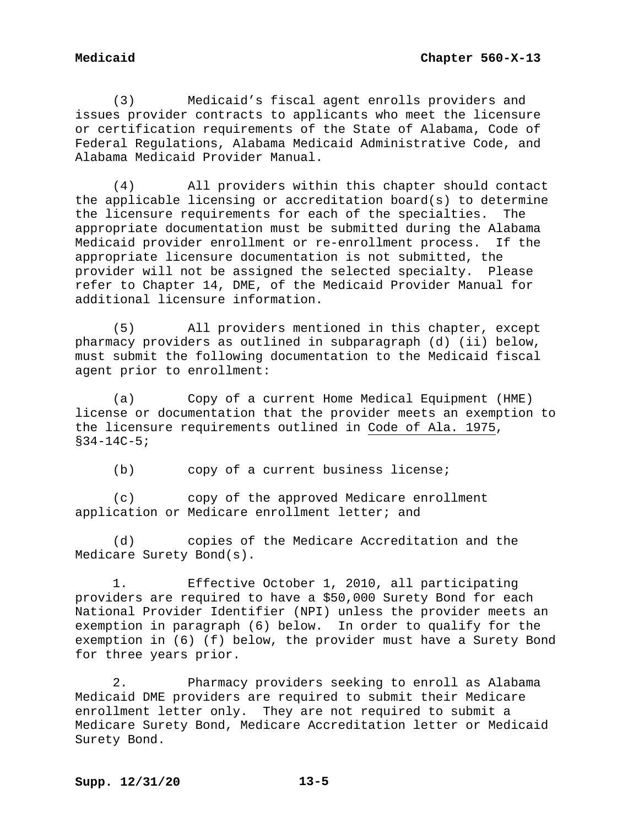(3) Medicaid's fiscal agent enrolls providers and issues provider contracts to applicants who meet the licensure or certification requirements of the State of Alabama, Code of Federal Regulations, Alabama Medicaid Administrative Code, and Alabama Medicaid Provider Manual.

(4) All providers within this chapter should contact the applicable licensing or accreditation board(s) to determine the licensure requirements for each of the specialties. The appropriate documentation must be submitted during the Alabama Medicaid provider enrollment or re-enrollment process. If the appropriate licensure documentation is not submitted, the provider will not be assigned the selected specialty. Please refer to Chapter 14, DME, of the Medicaid Provider Manual for additional licensure information.

(5) All providers mentioned in this chapter, except pharmacy providers as outlined in subparagraph (d) (ii) below, must submit the following documentation to the Medicaid fiscal agent prior to enrollment:

(a) Copy of a current Home Medical Equipment (HME) license or documentation that the provider meets an exemption to the licensure requirements outlined in Code of Ala. 1975, §34-14C-5;

(b) copy of a current business license;

(c) copy of the approved Medicare enrollment application or Medicare enrollment letter; and

(d) copies of the Medicare Accreditation and the Medicare Surety Bond(s).

1. Effective October 1, 2010, all participating providers are required to have a \$50,000 Surety Bond for each National Provider Identifier (NPI) unless the provider meets an exemption in paragraph (6) below. In order to qualify for the exemption in (6) (f) below, the provider must have a Surety Bond for three years prior.

2. Pharmacy providers seeking to enroll as Alabama Medicaid DME providers are required to submit their Medicare enrollment letter only. They are not required to submit a Medicare Surety Bond, Medicare Accreditation letter or Medicaid Surety Bond.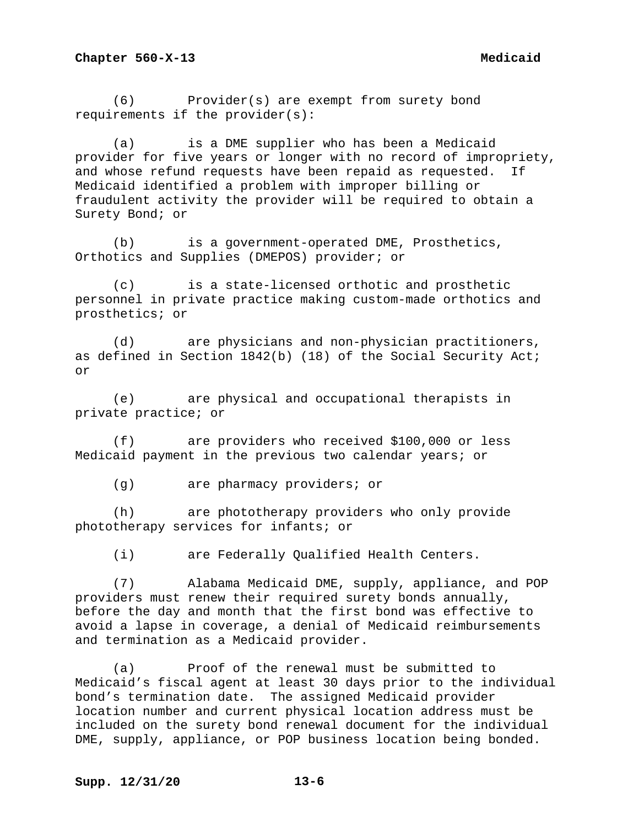(6) Provider(s) are exempt from surety bond requirements if the provider(s):

(a) is a DME supplier who has been a Medicaid provider for five years or longer with no record of impropriety,<br>and whose refund requests have been repaid as requested. If and whose refund requests have been repaid as requested. Medicaid identified a problem with improper billing or fraudulent activity the provider will be required to obtain a Surety Bond; or

(b) is a government-operated DME, Prosthetics, Orthotics and Supplies (DMEPOS) provider; or

(c) is a state-licensed orthotic and prosthetic personnel in private practice making custom-made orthotics and prosthetics; or

(d) are physicians and non-physician practitioners, as defined in Section 1842(b) (18) of the Social Security Act; or

(e) are physical and occupational therapists in private practice; or

(f) are providers who received \$100,000 or less Medicaid payment in the previous two calendar years; or

(g) are pharmacy providers; or

(h) are phototherapy providers who only provide phototherapy services for infants; or

(i) are Federally Qualified Health Centers.

(7) Alabama Medicaid DME, supply, appliance, and POP providers must renew their required surety bonds annually, before the day and month that the first bond was effective to avoid a lapse in coverage, a denial of Medicaid reimbursements and termination as a Medicaid provider.

(a) Proof of the renewal must be submitted to Medicaid's fiscal agent at least 30 days prior to the individual bond's termination date. The assigned Medicaid provider location number and current physical location address must be included on the surety bond renewal document for the individual DME, supply, appliance, or POP business location being bonded.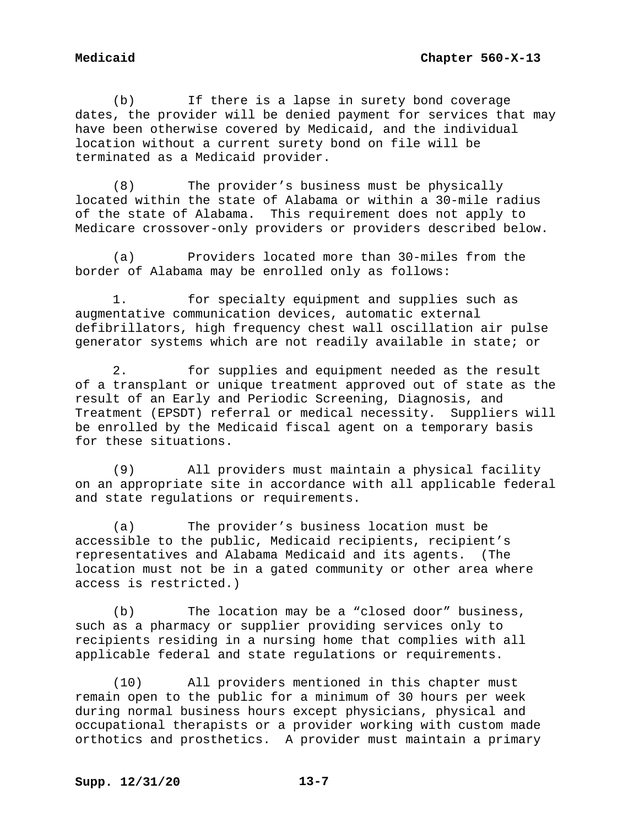(b) If there is a lapse in surety bond coverage dates, the provider will be denied payment for services that may have been otherwise covered by Medicaid, and the individual location without a current surety bond on file will be terminated as a Medicaid provider.

(8) The provider's business must be physically located within the state of Alabama or within a 30-mile radius of the state of Alabama. This requirement does not apply to Medicare crossover-only providers or providers described below.

(a) Providers located more than 30-miles from the border of Alabama may be enrolled only as follows:

1. for specialty equipment and supplies such as augmentative communication devices, automatic external defibrillators, high frequency chest wall oscillation air pulse generator systems which are not readily available in state; or

2. for supplies and equipment needed as the result of a transplant or unique treatment approved out of state as the result of an Early and Periodic Screening, Diagnosis, and Treatment (EPSDT) referral or medical necessity. Suppliers will be enrolled by the Medicaid fiscal agent on a temporary basis for these situations.

(9) All providers must maintain a physical facility on an appropriate site in accordance with all applicable federal and state regulations or requirements.

(a) The provider's business location must be accessible to the public, Medicaid recipients, recipient's representatives and Alabama Medicaid and its agents. (The location must not be in a gated community or other area where access is restricted.)

(b) The location may be a "closed door" business, such as a pharmacy or supplier providing services only to recipients residing in a nursing home that complies with all applicable federal and state regulations or requirements.

(10) All providers mentioned in this chapter must remain open to the public for a minimum of 30 hours per week during normal business hours except physicians, physical and occupational therapists or a provider working with custom made orthotics and prosthetics. A provider must maintain a primary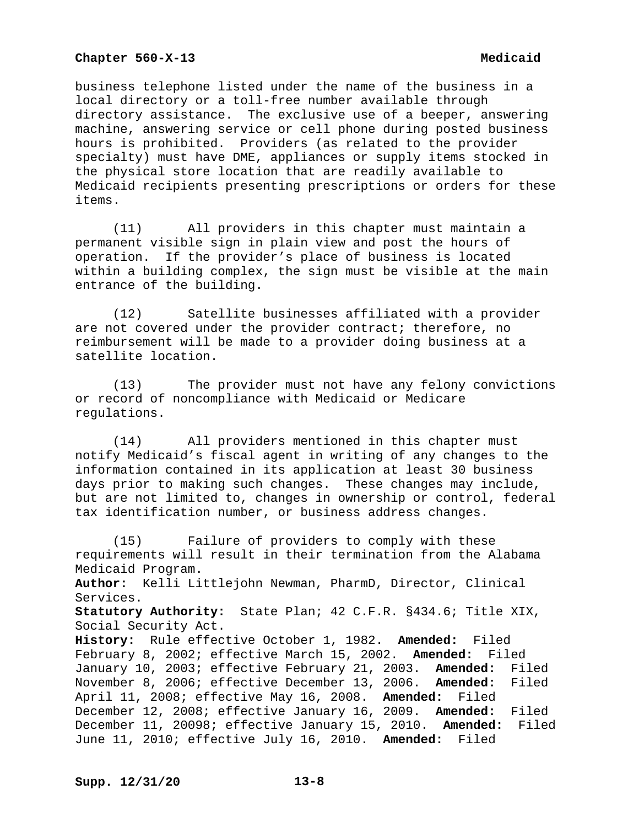business telephone listed under the name of the business in a local directory or a toll-free number available through directory assistance. The exclusive use of a beeper, answering machine, answering service or cell phone during posted business hours is prohibited. Providers (as related to the provider specialty) must have DME, appliances or supply items stocked in the physical store location that are readily available to Medicaid recipients presenting prescriptions or orders for these items.

(11) All providers in this chapter must maintain a permanent visible sign in plain view and post the hours of operation. If the provider's place of business is located within a building complex, the sign must be visible at the main entrance of the building.

(12) Satellite businesses affiliated with a provider are not covered under the provider contract; therefore, no reimbursement will be made to a provider doing business at a satellite location.

(13) The provider must not have any felony convictions or record of noncompliance with Medicaid or Medicare regulations.

(14) All providers mentioned in this chapter must notify Medicaid's fiscal agent in writing of any changes to the information contained in its application at least 30 business days prior to making such changes. These changes may include, but are not limited to, changes in ownership or control, federal tax identification number, or business address changes.

(15) Failure of providers to comply with these requirements will result in their termination from the Alabama Medicaid Program. **Author:** Kelli Littlejohn Newman, PharmD, Director, Clinical Services. **Statutory Authority:** State Plan; 42 C.F.R. §434.6; Title XIX, Social Security Act. **History:** Rule effective October 1, 1982. **Amended:** Filed February 8, 2002; effective March 15, 2002. **Amended:** Filed January 10, 2003; effective February 21, 2003. **Amended:** Filed November 8, 2006; effective December 13, 2006. April 11, 2008; effective May 16, 2008. **Amended:** Filed December 12, 2008; effective January 16, 2009. **Amended:** Filed December 11, 20098; effective January 15, 2010. **Amended:** Filed June 11, 2010; effective July 16, 2010. **Amended:** Filed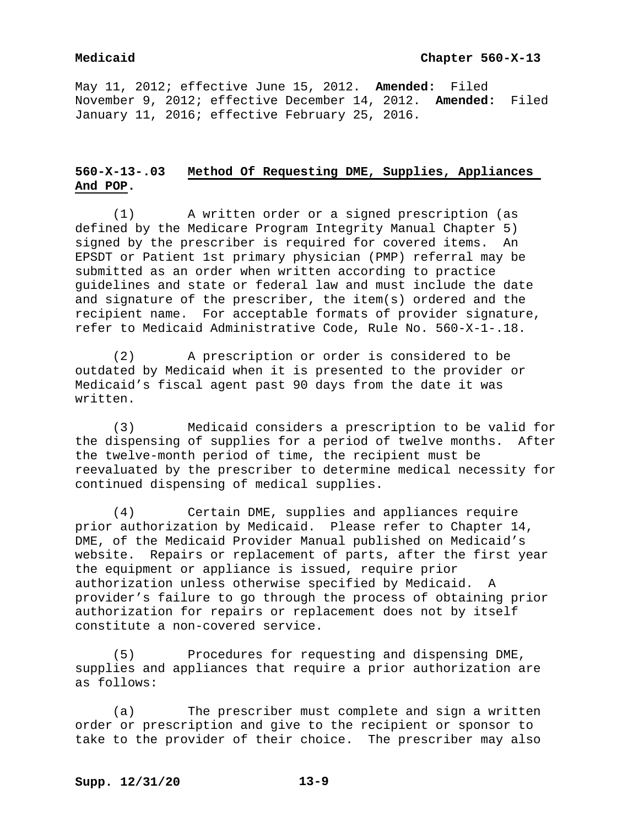May 11, 2012; effective June 15, 2012. **Amended:** Filed November 9, 2012; effective December 14, 2012. **Amended:** Filed January 11, 2016; effective February 25, 2016.

# **560-X-13-.03 Method Of Requesting DME, Supplies, Appliances And POP.**

(1) A written order or a signed prescription (as defined by the Medicare Program Integrity Manual Chapter 5) signed by the prescriber is required for covered items. An EPSDT or Patient 1st primary physician (PMP) referral may be submitted as an order when written according to practice guidelines and state or federal law and must include the date and signature of the prescriber, the item(s) ordered and the recipient name. For acceptable formats of provider signature, refer to Medicaid Administrative Code, Rule No. 560-X-1-.18.

(2) A prescription or order is considered to be outdated by Medicaid when it is presented to the provider or Medicaid's fiscal agent past 90 days from the date it was written.

(3) Medicaid considers a prescription to be valid for the dispensing of supplies for a period of twelve months. the twelve-month period of time, the recipient must be reevaluated by the prescriber to determine medical necessity for continued dispensing of medical supplies.

(4) Certain DME, supplies and appliances require prior authorization by Medicaid. Please refer to Chapter 14, DME, of the Medicaid Provider Manual published on Medicaid's website. Repairs or replacement of parts, after the first year the equipment or appliance is issued, require prior authorization unless otherwise specified by Medicaid. A provider's failure to go through the process of obtaining prior authorization for repairs or replacement does not by itself constitute a non-covered service.

(5) Procedures for requesting and dispensing DME, supplies and appliances that require a prior authorization are as follows:

(a) The prescriber must complete and sign a written order or prescription and give to the recipient or sponsor to take to the provider of their choice. The prescriber may also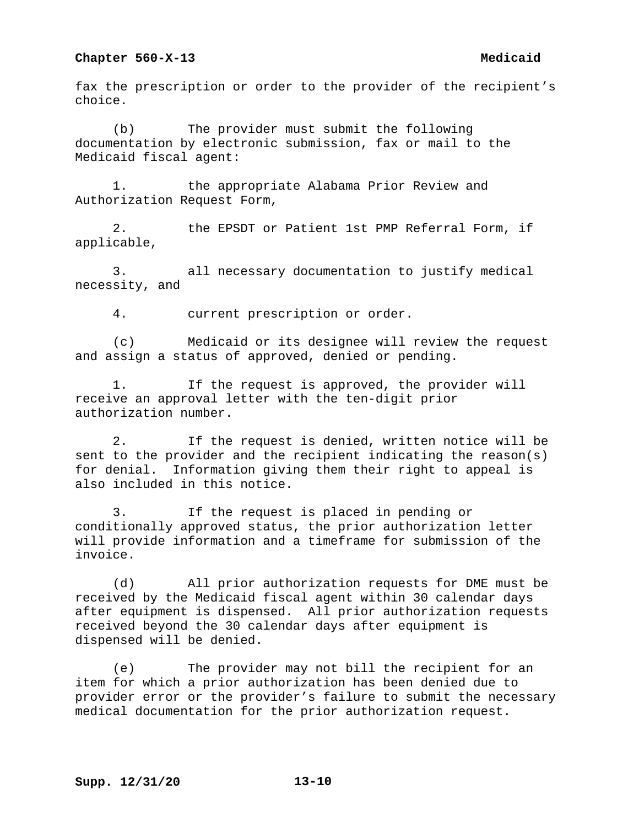fax the prescription or order to the provider of the recipient's choice.

(b) The provider must submit the following documentation by electronic submission, fax or mail to the Medicaid fiscal agent:

1. the appropriate Alabama Prior Review and Authorization Request Form,

2. the EPSDT or Patient 1st PMP Referral Form, if applicable,

3. all necessary documentation to justify medical necessity, and

4. current prescription or order.

(c) Medicaid or its designee will review the request and assign a status of approved, denied or pending.

1. If the request is approved, the provider will receive an approval letter with the ten-digit prior authorization number.

2. If the request is denied, written notice will be sent to the provider and the recipient indicating the reason(s) for denial. Information giving them their right to appeal is also included in this notice.

3. If the request is placed in pending or conditionally approved status, the prior authorization letter will provide information and a timeframe for submission of the invoice.

(d) All prior authorization requests for DME must be received by the Medicaid fiscal agent within 30 calendar days after equipment is dispensed. All prior authorization requests received beyond the 30 calendar days after equipment is dispensed will be denied.

(e) The provider may not bill the recipient for an item for which a prior authorization has been denied due to provider error or the provider's failure to submit the necessary medical documentation for the prior authorization request.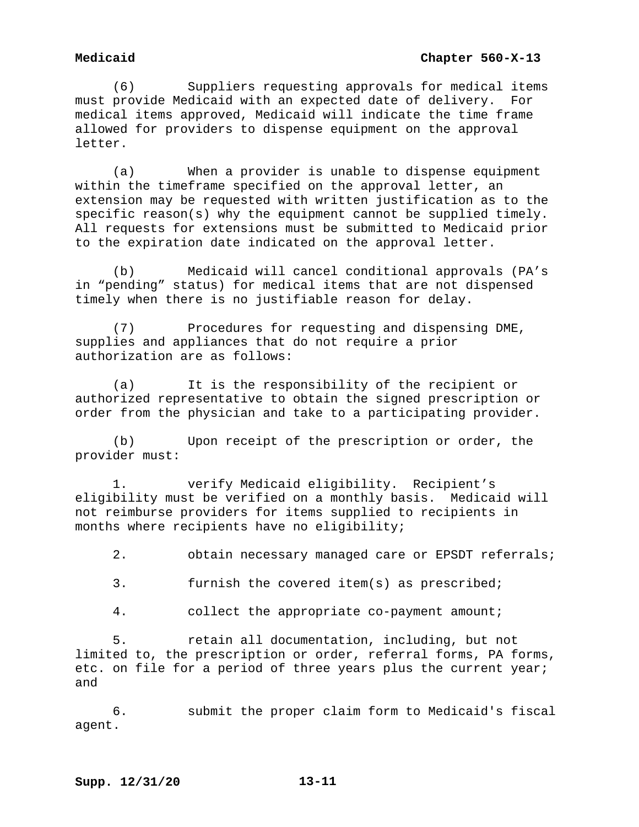(6) Suppliers requesting approvals for medical items must provide Medicaid with an expected date of delivery. For medical items approved, Medicaid will indicate the time frame allowed for providers to dispense equipment on the approval letter.

(a) When a provider is unable to dispense equipment within the timeframe specified on the approval letter, an extension may be requested with written justification as to the specific reason(s) why the equipment cannot be supplied timely. All requests for extensions must be submitted to Medicaid prior to the expiration date indicated on the approval letter.

(b) Medicaid will cancel conditional approvals (PA's in "pending" status) for medical items that are not dispensed timely when there is no justifiable reason for delay.

(7) Procedures for requesting and dispensing DME, supplies and appliances that do not require a prior authorization are as follows:

(a) It is the responsibility of the recipient or authorized representative to obtain the signed prescription or order from the physician and take to a participating provider.

(b) Upon receipt of the prescription or order, the provider must:

1. verify Medicaid eligibility. Recipient's eligibility must be verified on a monthly basis. Medicaid will not reimburse providers for items supplied to recipients in months where recipients have no eligibility;

2. obtain necessary managed care or EPSDT referrals;

3. furnish the covered item(s) as prescribed;

4. collect the appropriate co-payment amount;

5. retain all documentation, including, but not limited to, the prescription or order, referral forms, PA forms, etc. on file for a period of three years plus the current year; and

6. submit the proper claim form to Medicaid's fiscal agent.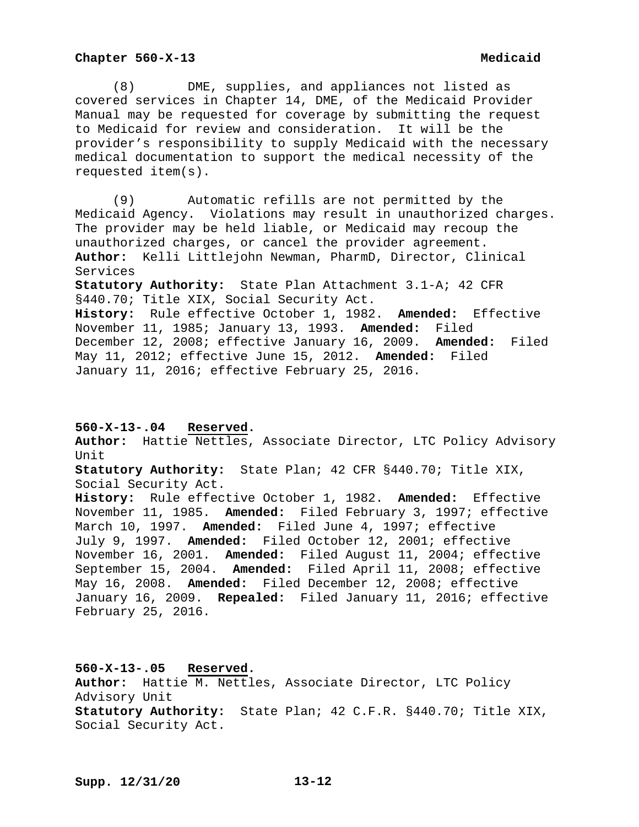(8) DME, supplies, and appliances not listed as covered services in Chapter 14, DME, of the Medicaid Provider Manual may be requested for coverage by submitting the request to Medicaid for review and consideration. It will be the provider's responsibility to supply Medicaid with the necessary medical documentation to support the medical necessity of the requested item(s).

(9) Automatic refills are not permitted by the Medicaid Agency. Violations may result in unauthorized charges. The provider may be held liable, or Medicaid may recoup the unauthorized charges, or cancel the provider agreement. **Author:** Kelli Littlejohn Newman, PharmD, Director, Clinical Services **Statutory Authority:** State Plan Attachment 3.1-A; 42 CFR

§440.70; Title XIX, Social Security Act. **History:** Rule effective October 1, 1982. **Amended:** Effective November 11, 1985; January 13, 1993. **Amended:** Filed December 12, 2008; effective January 16, 2009. **Amended:** Filed May 11, 2012; effective June 15, 2012. **Amended:** Filed January 11, 2016; effective February 25, 2016.

## **560-X-13-.04 Reserved.**

**Author:** Hattie Nettles, Associate Director, LTC Policy Advisory Unit

**Statutory Authority:** State Plan; 42 CFR §440.70; Title XIX, Social Security Act.

**History:** Rule effective October 1, 1982. **Amended:** Effective November 11, 1985. **Amended:** Filed February 3, 1997; effective March 10, 1997. **Amended:** Filed June 4, 1997; effective July 9, 1997. **Amended:** Filed October 12, 2001; effective November 16, 2001. **Amended:** Filed August 11, 2004; effective September 15, 2004. **Amended:** Filed April 11, 2008; effective May 16, 2008. **Amended:** Filed December 12, 2008; effective January 16, 2009. **Repealed:** Filed January 11, 2016; effective February 25, 2016.

**560-X-13-.05 Reserved. Author:** Hattie M. Nettles, Associate Director, LTC Policy Advisory Unit **Statutory Authority:** State Plan; 42 C.F.R. §440.70; Title XIX, Social Security Act.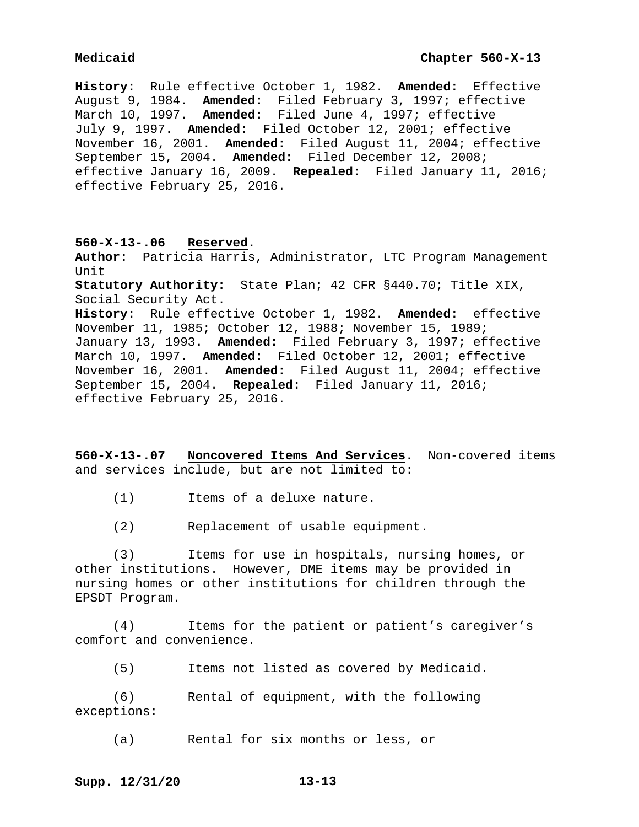**History:** Rule effective October 1, 1982. **Amended:** Effective August 9, 1984. **Amended:** Filed February 3, 1997; effective March 10, 1997. **Amended:** Filed June 4, 1997; effective July 9, 1997. **Amended:** Filed October 12, 2001; effective November 16, 2001. **Amended:** Filed August 11, 2004; effective September 15, 2004. **Amended:** Filed December 12, 2008; effective January 16, 2009. **Repealed:** Filed January 11, 2016; effective February 25, 2016.

### **560-X-13-.06 Reserved.**

**Author:** Patricia Harris, Administrator, LTC Program Management Unit **Statutory Authority:** State Plan; 42 CFR §440.70; Title XIX, Social Security Act. **History:** Rule effective October 1, 1982. **Amended:** effective November 11, 1985; October 12, 1988; November 15, 1989; January 13, 1993. **Amended:** Filed February 3, 1997; effective March 10, 1997. **Amended:** Filed October 12, 2001; effective November 16, 2001. **Amended:** Filed August 11, 2004; effective September 15, 2004. **Repealed:** Filed January 11, 2016; effective February 25, 2016.

**560-X-13-.07 Noncovered Items And Services.** Non-covered items and services include, but are not limited to:

(1) Items of a deluxe nature.

(2) Replacement of usable equipment.

(3) Items for use in hospitals, nursing homes, or other institutions. However, DME items may be provided in nursing homes or other institutions for children through the EPSDT Program.

(4) Items for the patient or patient's caregiver's comfort and convenience.

(5) Items not listed as covered by Medicaid.

(6) Rental of equipment, with the following exceptions:

(a) Rental for six months or less, or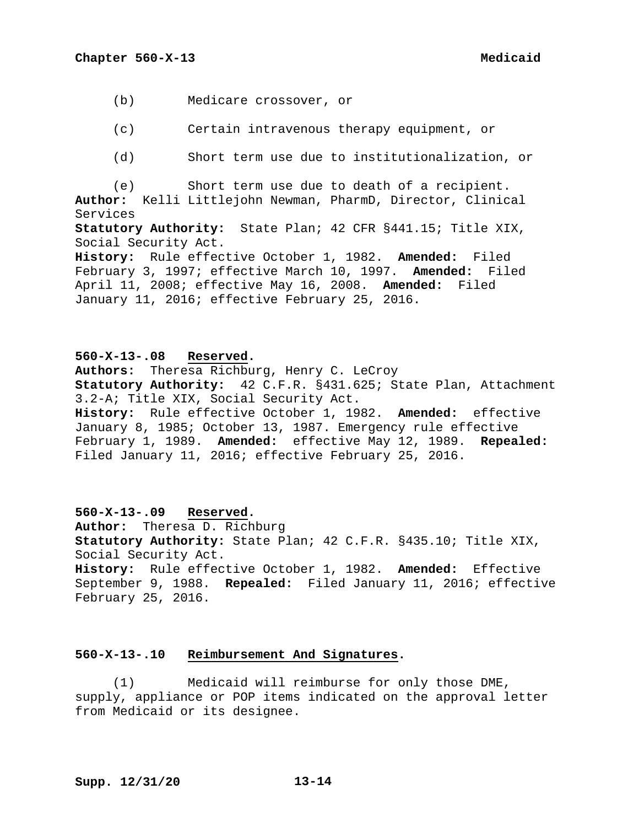- (b) Medicare crossover, or
- (c) Certain intravenous therapy equipment, or
- (d) Short term use due to institutionalization, or

(e) Short term use due to death of a recipient. **Author:** Kelli Littlejohn Newman, PharmD, Director, Clinical Services

**Statutory Authority:** State Plan; 42 CFR §441.15; Title XIX, Social Security Act.

**History:** Rule effective October 1, 1982. **Amended:** Filed February 3, 1997; effective March 10, 1997. **Amended:** Filed April 11, 2008; effective May 16, 2008. **Amended:** Filed January 11, 2016; effective February 25, 2016.

**560-X-13-.08 Reserved.**

**Authors:** Theresa Richburg, Henry C. LeCroy **Statutory Authority:** 42 C.F.R. §431.625; State Plan, Attachment 3.2-A; Title XIX, Social Security Act. **History:** Rule effective October 1, 1982. **Amended:** effective January 8, 1985; October 13, 1987. Emergency rule effective February 1, 1989. **Amended:** effective May 12, 1989. **Repealed:**  Filed January 11, 2016; effective February 25, 2016.

**560-X-13-.09 Reserved. Author:** Theresa D. Richburg **Statutory Authority:** State Plan; 42 C.F.R. §435.10; Title XIX, Social Security Act. **History:** Rule effective October 1, 1982. **Amended:** Effective September 9, 1988. **Repealed:** Filed January 11, 2016; effective February 25, 2016.

# **560-X-13-.10 Reimbursement And Signatures.**

(1) Medicaid will reimburse for only those DME, supply, appliance or POP items indicated on the approval letter from Medicaid or its designee.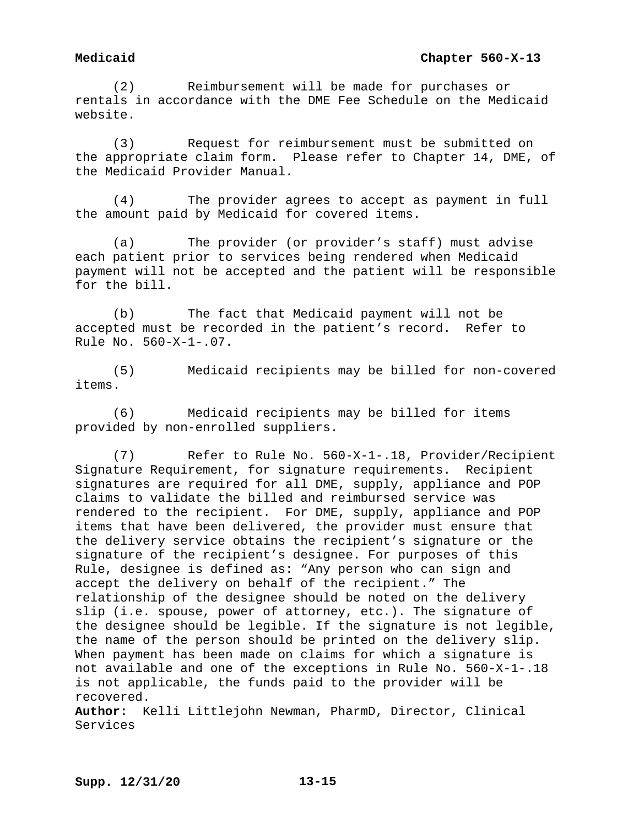(2) Reimbursement will be made for purchases or rentals in accordance with the DME Fee Schedule on the Medicaid website.

(3) Request for reimbursement must be submitted on the appropriate claim form. Please refer to Chapter 14, DME, of the Medicaid Provider Manual.

(4) The provider agrees to accept as payment in full the amount paid by Medicaid for covered items.

(a) The provider (or provider's staff) must advise each patient prior to services being rendered when Medicaid payment will not be accepted and the patient will be responsible for the bill.

(b) The fact that Medicaid payment will not be accepted must be recorded in the patient's record. Refer to Rule No. 560-X-1-.07.

(5) Medicaid recipients may be billed for non-covered items.

(6) Medicaid recipients may be billed for items provided by non-enrolled suppliers.

(7) Refer to Rule No. 560-X-1-.18, Provider/Recipient Signature Requirement, for signature requirements. Recipient signatures are required for all DME, supply, appliance and POP claims to validate the billed and reimbursed service was rendered to the recipient. For DME, supply, appliance and POP items that have been delivered, the provider must ensure that the delivery service obtains the recipient's signature or the signature of the recipient's designee. For purposes of this Rule, designee is defined as: "Any person who can sign and accept the delivery on behalf of the recipient." The relationship of the designee should be noted on the delivery slip (i.e. spouse, power of attorney, etc.). The signature of the designee should be legible. If the signature is not legible, the name of the person should be printed on the delivery slip. When payment has been made on claims for which a signature is not available and one of the exceptions in Rule No. 560-X-1-.18 is not applicable, the funds paid to the provider will be recovered.

**Author:** Kelli Littlejohn Newman, PharmD, Director, Clinical Services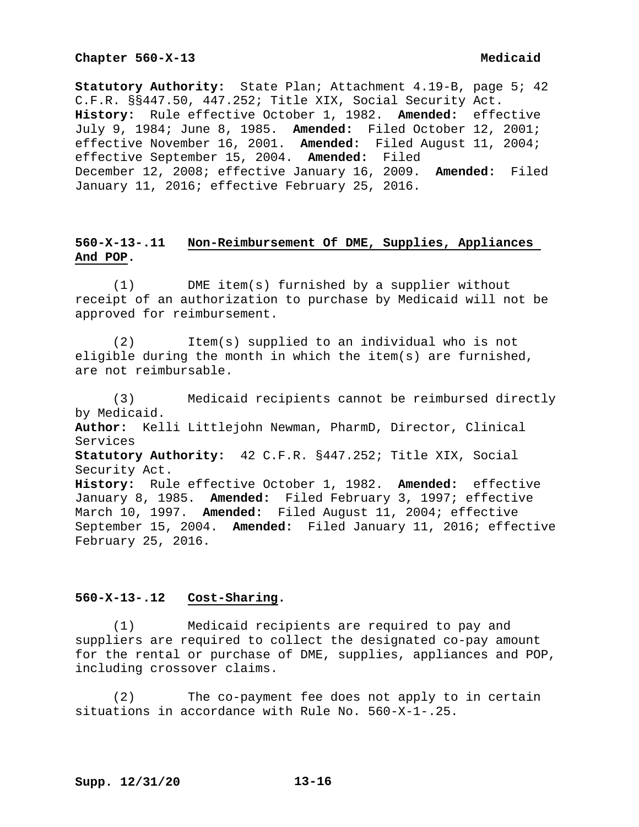**Statutory Authority:** State Plan; Attachment 4.19-B, page 5; 42 C.F.R. §§447.50, 447.252; Title XIX, Social Security Act. **History:** Rule effective October 1, 1982. **Amended:** effective July 9, 1984; June 8, 1985. **Amended:** Filed October 12, 2001; effective November 16, 2001. **Amended:** Filed August 11, 2004; effective September 15, 2004. **Amended:** Filed December 12, 2008; effective January 16, 2009. **Amended:** Filed January 11, 2016; effective February 25, 2016.

# **560-X-13-.11 Non-Reimbursement Of DME, Supplies, Appliances And POP.**

(1) DME item(s) furnished by a supplier without receipt of an authorization to purchase by Medicaid will not be approved for reimbursement.

(2) Item(s) supplied to an individual who is not eligible during the month in which the item(s) are furnished, are not reimbursable.

(3) Medicaid recipients cannot be reimbursed directly by Medicaid. **Author:** Kelli Littlejohn Newman, PharmD, Director, Clinical Services **Statutory Authority:** 42 C.F.R. §447.252; Title XIX, Social Security Act. **History:** Rule effective October 1, 1982. **Amended:** effective January 8, 1985. **Amended:** Filed February 3, 1997; effective March 10, 1997. **Amended:** Filed August 11, 2004; effective September 15, 2004. **Amended:** Filed January 11, 2016; effective February 25, 2016.

## **560-X-13-.12 Cost-Sharing.**

(1) Medicaid recipients are required to pay and suppliers are required to collect the designated co-pay amount for the rental or purchase of DME, supplies, appliances and POP, including crossover claims.

(2) The co-payment fee does not apply to in certain situations in accordance with Rule No. 560-X-1-.25.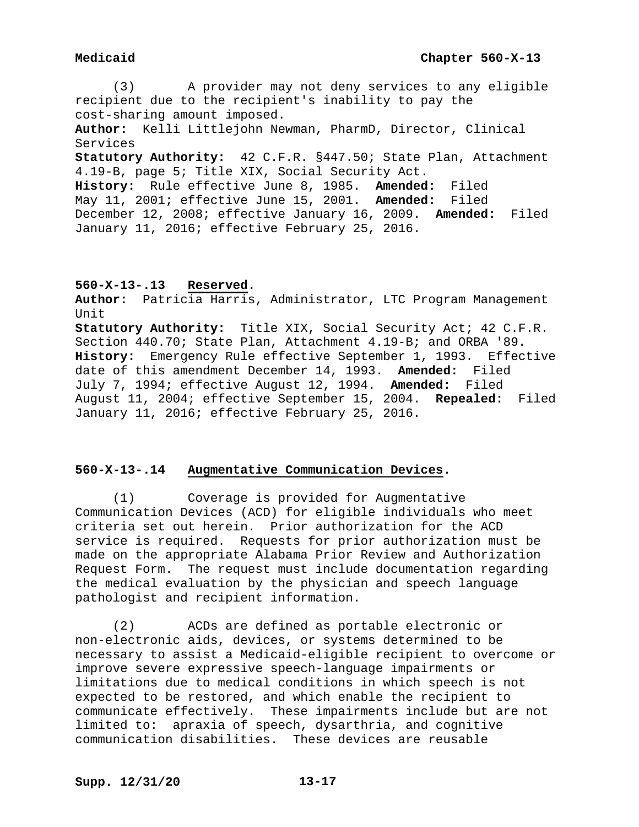(3) A provider may not deny services to any eligible recipient due to the recipient's inability to pay the cost-sharing amount imposed. **Author:** Kelli Littlejohn Newman, PharmD, Director, Clinical Services **Statutory Authority:** 42 C.F.R. §447.50; State Plan, Attachment 4.19-B, page 5; Title XIX, Social Security Act. **History:** Rule effective June 8, 1985. **Amended:** Filed May 11, 2001; effective June 15, 2001. **Amended:** Filed December 12, 2008; effective January 16, 2009. **Amended:** Filed January 11, 2016; effective February 25, 2016.

# **560-X-13-.13 Reserved.**

**Author:** Patricia Harris, Administrator, LTC Program Management Unit

**Statutory Authority:** Title XIX, Social Security Act; 42 C.F.R. Section 440.70; State Plan, Attachment 4.19-B; and ORBA '89. **History:** Emergency Rule effective September 1, 1993. Effective date of this amendment December 14, 1993. **Amended:** Filed July 7, 1994; effective August 12, 1994. **Amended:** Filed August 11, 2004; effective September 15, 2004. **Repealed:** Filed January 11, 2016; effective February 25, 2016.

# **560-X-13-.14 Augmentative Communication Devices.**

(1) Coverage is provided for Augmentative Communication Devices (ACD) for eligible individuals who meet criteria set out herein. Prior authorization for the ACD service is required. Requests for prior authorization must be made on the appropriate Alabama Prior Review and Authorization Request Form. The request must include documentation regarding the medical evaluation by the physician and speech language pathologist and recipient information.

(2) ACDs are defined as portable electronic or non-electronic aids, devices, or systems determined to be necessary to assist a Medicaid-eligible recipient to overcome or improve severe expressive speech-language impairments or limitations due to medical conditions in which speech is not expected to be restored, and which enable the recipient to communicate effectively. These impairments include but are not limited to: apraxia of speech, dysarthria, and cognitive communication disabilities. These devices are reusable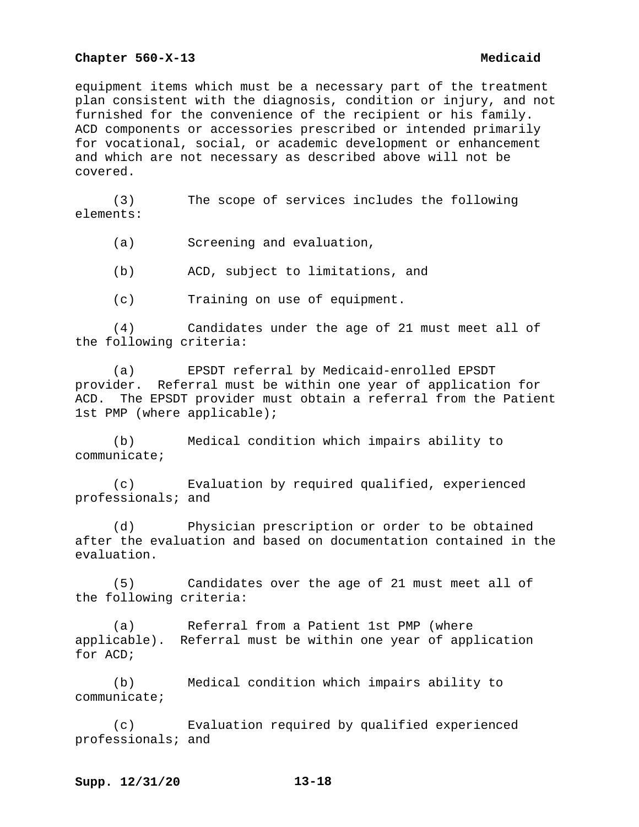equipment items which must be a necessary part of the treatment plan consistent with the diagnosis, condition or injury, and not furnished for the convenience of the recipient or his family. ACD components or accessories prescribed or intended primarily for vocational, social, or academic development or enhancement and which are not necessary as described above will not be covered.

(3) The scope of services includes the following elements:

(a) Screening and evaluation,

(b) ACD, subject to limitations, and

(c) Training on use of equipment.

(4) Candidates under the age of 21 must meet all of the following criteria:

(a) EPSDT referral by Medicaid-enrolled EPSDT provider. Referral must be within one year of application for ACD. The EPSDT provider must obtain a referral from the Patient 1st PMP (where applicable);

(b) Medical condition which impairs ability to communicate;

(c) Evaluation by required qualified, experienced professionals; and

(d) Physician prescription or order to be obtained after the evaluation and based on documentation contained in the evaluation.

(5) Candidates over the age of 21 must meet all of the following criteria:

(a) Referral from a Patient 1st PMP (where applicable). Referral must be within one year of application for ACD;

(b) Medical condition which impairs ability to communicate;

(c) Evaluation required by qualified experienced professionals; and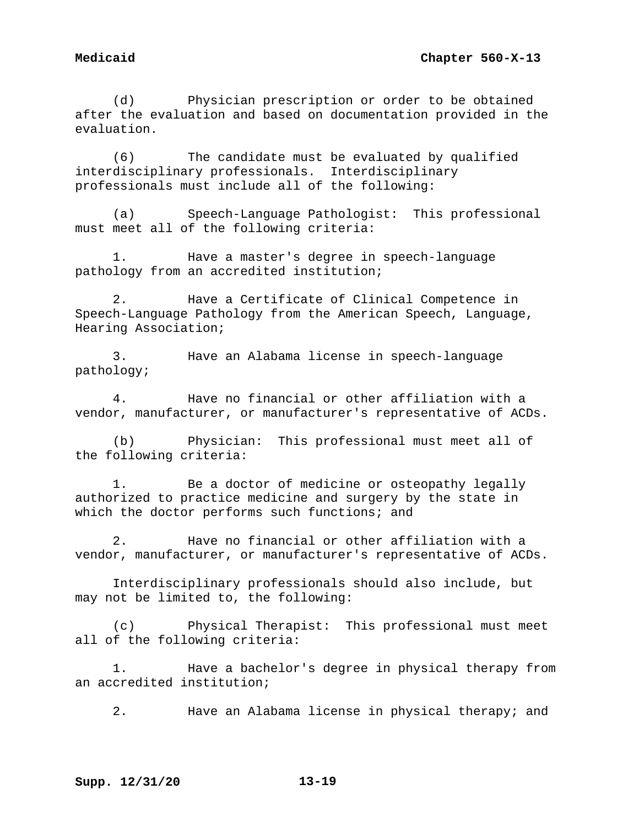(d) Physician prescription or order to be obtained after the evaluation and based on documentation provided in the evaluation.

(6) The candidate must be evaluated by qualified interdisciplinary professionals. Interdisciplinary professionals must include all of the following:

(a) Speech-Language Pathologist: This professional must meet all of the following criteria:

1. Have a master's degree in speech-language pathology from an accredited institution;

2. Have a Certificate of Clinical Competence in Speech-Language Pathology from the American Speech, Language, Hearing Association;

3. Have an Alabama license in speech-language pathology;

4. Have no financial or other affiliation with a vendor, manufacturer, or manufacturer's representative of ACDs.

(b) Physician: This professional must meet all of the following criteria:

1. Be a doctor of medicine or osteopathy legally authorized to practice medicine and surgery by the state in which the doctor performs such functions; and

2. Have no financial or other affiliation with a vendor, manufacturer, or manufacturer's representative of ACDs.

Interdisciplinary professionals should also include, but may not be limited to, the following:

(c) Physical Therapist: This professional must meet all of the following criteria:

1. Have a bachelor's degree in physical therapy from an accredited institution;

2. Have an Alabama license in physical therapy; and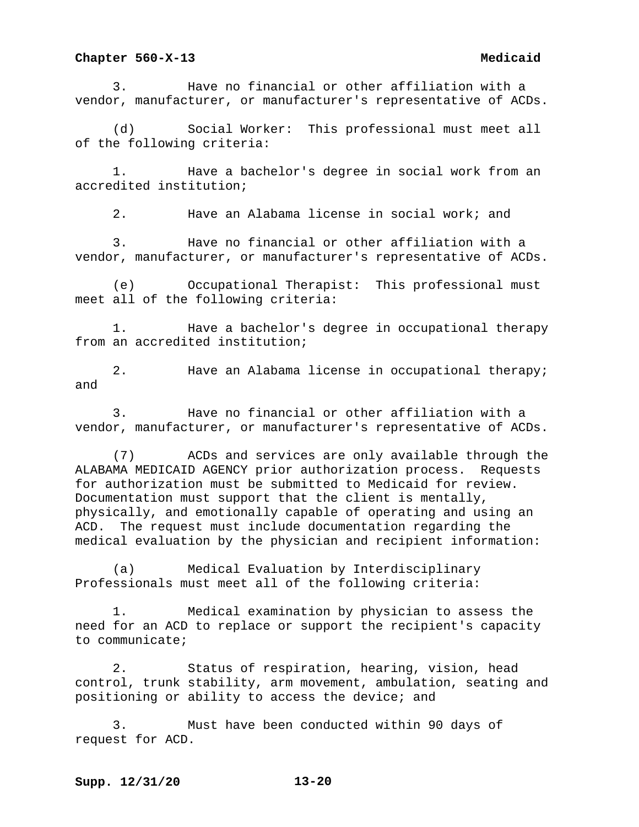3. Have no financial or other affiliation with a vendor, manufacturer, or manufacturer's representative of ACDs.

(d) Social Worker: This professional must meet all of the following criteria:

1. Have a bachelor's degree in social work from an accredited institution;

2. Have an Alabama license in social work; and

3. Have no financial or other affiliation with a vendor, manufacturer, or manufacturer's representative of ACDs.

(e) Occupational Therapist: This professional must meet all of the following criteria:

1. Have a bachelor's degree in occupational therapy from an accredited institution;

2. Have an Alabama license in occupational therapy; and

3. Have no financial or other affiliation with a vendor, manufacturer, or manufacturer's representative of ACDs.

(7) ACDs and services are only available through the ALABAMA MEDICAID AGENCY prior authorization process. Requests for authorization must be submitted to Medicaid for review. Documentation must support that the client is mentally, physically, and emotionally capable of operating and using an ACD. The request must include documentation regarding the medical evaluation by the physician and recipient information:

(a) Medical Evaluation by Interdisciplinary Professionals must meet all of the following criteria:

Medical examination by physician to assess the need for an ACD to replace or support the recipient's capacity to communicate;

2. Status of respiration, hearing, vision, head control, trunk stability, arm movement, ambulation, seating and positioning or ability to access the device; and

3. Must have been conducted within 90 days of request for ACD.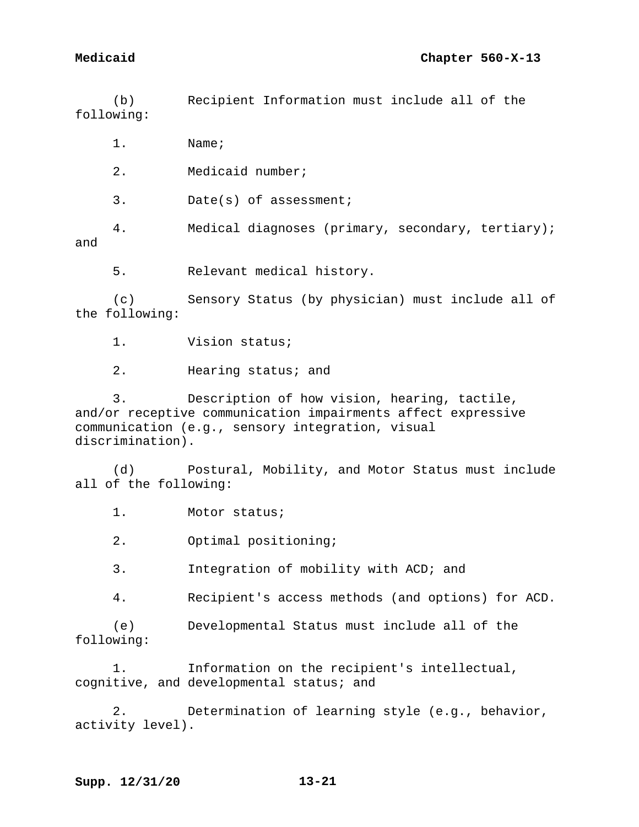(b) Recipient Information must include all of the following:

1. Name;

2. Medicaid number;

3. Date(s) of assessment;

4. Medical diagnoses (primary, secondary, tertiary); and

5. Relevant medical history.

(c) Sensory Status (by physician) must include all of the following:

1. Vision status;

2. Hearing status; and

3. Description of how vision, hearing, tactile, and/or receptive communication impairments affect expressive communication (e.g., sensory integration, visual discrimination).

(d) Postural, Mobility, and Motor Status must include all of the following:

1. Motor status;

2. Optimal positioning;

3. Integration of mobility with ACD; and

4. Recipient's access methods (and options) for ACD.

(e) Developmental Status must include all of the following:

1. Information on the recipient's intellectual, cognitive, and developmental status; and

2. Determination of learning style (e.g., behavior, activity level).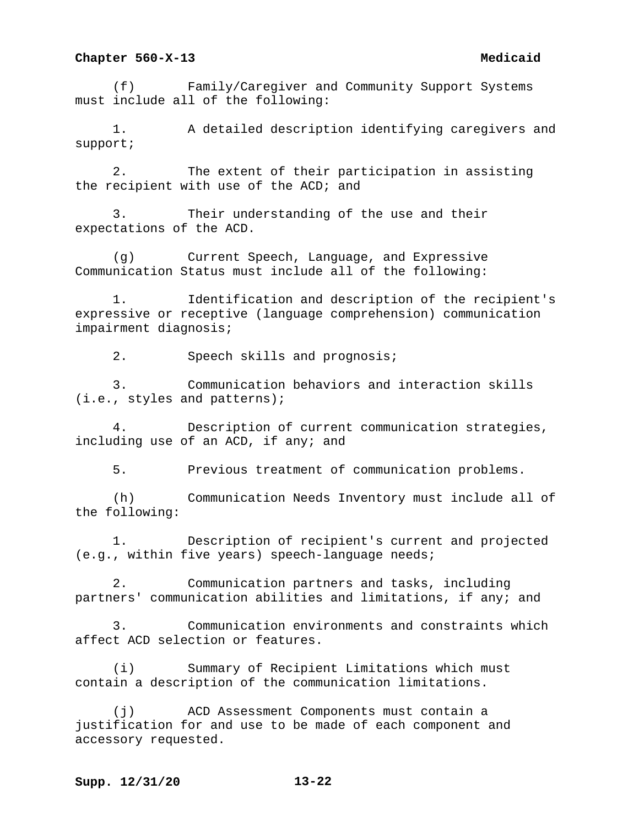(f) Family/Caregiver and Community Support Systems must include all of the following:

1. A detailed description identifying caregivers and support;

2. The extent of their participation in assisting the recipient with use of the ACD; and

3. Their understanding of the use and their expectations of the ACD.

(g) Current Speech, Language, and Expressive Communication Status must include all of the following:

1. Identification and description of the recipient's expressive or receptive (language comprehension) communication impairment diagnosis;

2. Speech skills and prognosis;

3. Communication behaviors and interaction skills (i.e., styles and patterns);

4. Description of current communication strategies, including use of an ACD, if any; and

5. Previous treatment of communication problems.

(h) Communication Needs Inventory must include all of the following:

1. Description of recipient's current and projected (e.g., within five years) speech-language needs;

2. Communication partners and tasks, including partners' communication abilities and limitations, if any; and

3. Communication environments and constraints which affect ACD selection or features.

(i) Summary of Recipient Limitations which must contain a description of the communication limitations.

(j) ACD Assessment Components must contain a justification for and use to be made of each component and accessory requested.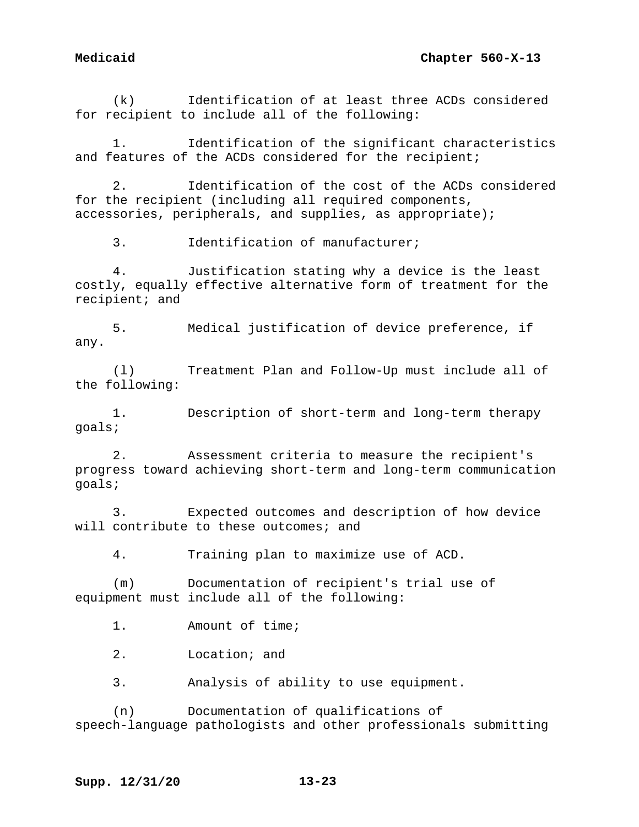(k) Identification of at least three ACDs considered for recipient to include all of the following:

1. Identification of the significant characteristics and features of the ACDs considered for the recipient;

2. Identification of the cost of the ACDs considered for the recipient (including all required components, accessories, peripherals, and supplies, as appropriate);

3. Identification of manufacturer;

4. Justification stating why a device is the least costly, equally effective alternative form of treatment for the recipient; and

5. Medical justification of device preference, if any.

(l) Treatment Plan and Follow-Up must include all of the following:

1. Description of short-term and long-term therapy goals;

2. Assessment criteria to measure the recipient's progress toward achieving short-term and long-term communication goals;

3. Expected outcomes and description of how device will contribute to these outcomes; and

4. Training plan to maximize use of ACD.

(m) Documentation of recipient's trial use of equipment must include all of the following:

1. Amount of time;

2. Location; and

3. Analysis of ability to use equipment.

(n) Documentation of qualifications of speech-language pathologists and other professionals submitting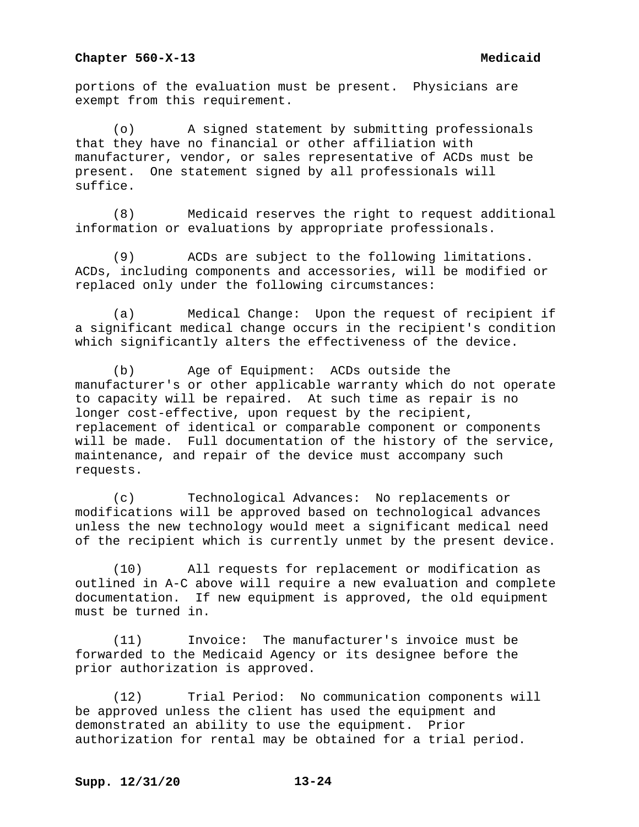portions of the evaluation must be present. Physicians are exempt from this requirement.

(o) A signed statement by submitting professionals that they have no financial or other affiliation with manufacturer, vendor, or sales representative of ACDs must be present. One statement signed by all professionals will suffice.

(8) Medicaid reserves the right to request additional information or evaluations by appropriate professionals.

(9) ACDs are subject to the following limitations. ACDs, including components and accessories, will be modified or replaced only under the following circumstances:

(a) Medical Change: Upon the request of recipient if a significant medical change occurs in the recipient's condition which significantly alters the effectiveness of the device.

(b) Age of Equipment: ACDs outside the manufacturer's or other applicable warranty which do not operate to capacity will be repaired. At such time as repair is no longer cost-effective, upon request by the recipient, replacement of identical or comparable component or components will be made. Full documentation of the history of the service, maintenance, and repair of the device must accompany such requests.

(c) Technological Advances: No replacements or modifications will be approved based on technological advances unless the new technology would meet a significant medical need of the recipient which is currently unmet by the present device.

(10) All requests for replacement or modification as outlined in A-C above will require a new evaluation and complete documentation. If new equipment is approved, the old equipment must be turned in.

(11) Invoice: The manufacturer's invoice must be forwarded to the Medicaid Agency or its designee before the prior authorization is approved.

(12) Trial Period: No communication components will be approved unless the client has used the equipment and demonstrated an ability to use the equipment. Prior authorization for rental may be obtained for a trial period.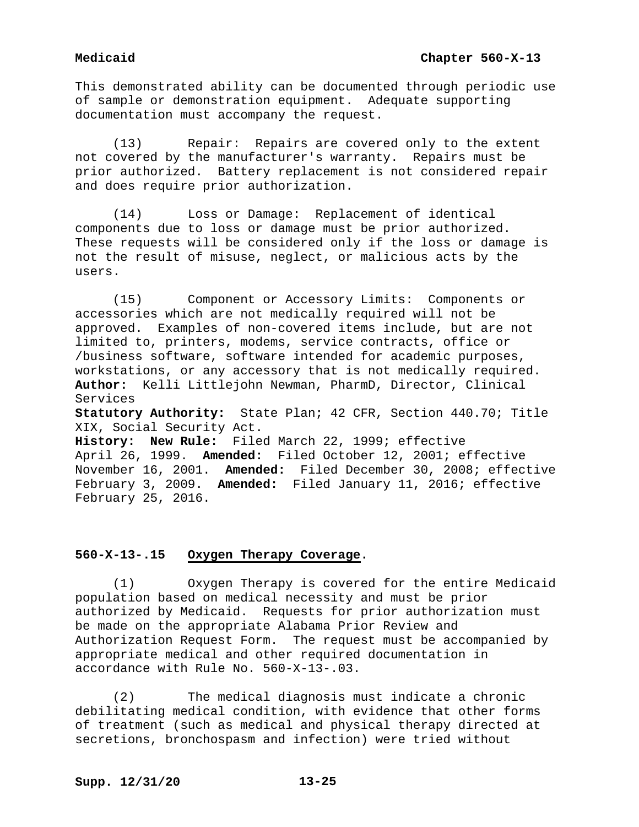This demonstrated ability can be documented through periodic use of sample or demonstration equipment. Adequate supporting documentation must accompany the request.

(13) Repair: Repairs are covered only to the extent not covered by the manufacturer's warranty. Repairs must be prior authorized. Battery replacement is not considered repair and does require prior authorization.

(14) Loss or Damage: Replacement of identical components due to loss or damage must be prior authorized. These requests will be considered only if the loss or damage is not the result of misuse, neglect, or malicious acts by the users.

(15) Component or Accessory Limits: Components or accessories which are not medically required will not be approved. Examples of non-covered items include, but are not limited to, printers, modems, service contracts, office or /business software, software intended for academic purposes, workstations, or any accessory that is not medically required. **Author:** Kelli Littlejohn Newman, PharmD, Director, Clinical Services

**Statutory Authority:** State Plan; 42 CFR, Section 440.70; Title XIX, Social Security Act.

**History: New Rule:** Filed March 22, 1999; effective April 26, 1999. **Amended:** Filed October 12, 2001; effective November 16, 2001. **Amended:** Filed December 30, 2008; effective February 3, 2009. **Amended:** Filed January 11, 2016; effective February 25, 2016.

# **560-X-13-.15 Oxygen Therapy Coverage.**

(1) Oxygen Therapy is covered for the entire Medicaid population based on medical necessity and must be prior authorized by Medicaid. Requests for prior authorization must be made on the appropriate Alabama Prior Review and Authorization Request Form. The request must be accompanied by appropriate medical and other required documentation in accordance with Rule No. 560-X-13-.03.

(2) The medical diagnosis must indicate a chronic debilitating medical condition, with evidence that other forms of treatment (such as medical and physical therapy directed at secretions, bronchospasm and infection) were tried without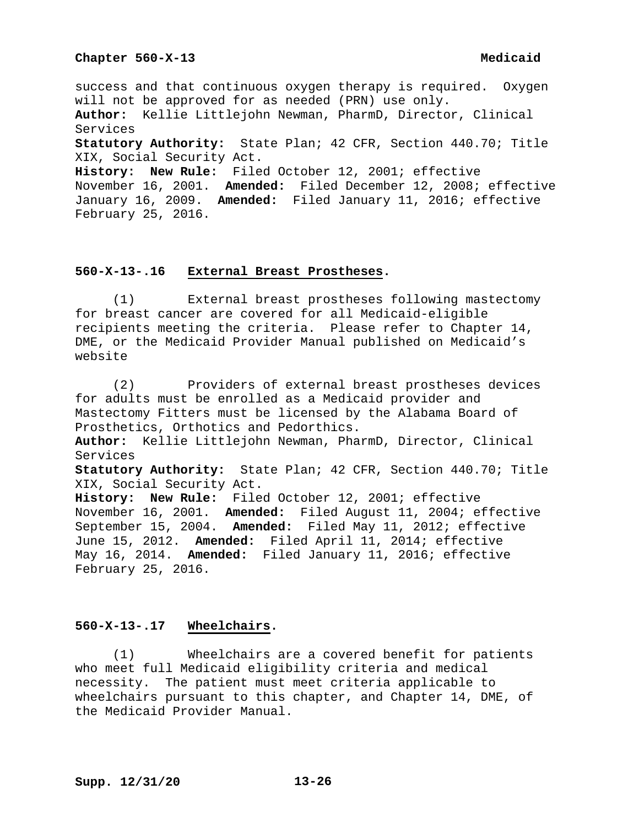success and that continuous oxygen therapy is required. Oxygen will not be approved for as needed (PRN) use only. **Author:** Kellie Littlejohn Newman, PharmD, Director, Clinical Services **Statutory Authority:** State Plan; 42 CFR, Section 440.70; Title XIX, Social Security Act. **History: New Rule:** Filed October 12, 2001; effective November 16, 2001. **Amended:** Filed December 12, 2008; effective January 16, 2009. **Amended:** Filed January 11, 2016; effective

February 25, 2016.

# **560-X-13-.16 External Breast Prostheses.**

(1) External breast prostheses following mastectomy for breast cancer are covered for all Medicaid-eligible recipients meeting the criteria. Please refer to Chapter 14, DME, or the Medicaid Provider Manual published on Medicaid's website

(2) Providers of external breast prostheses devices for adults must be enrolled as a Medicaid provider and Mastectomy Fitters must be licensed by the Alabama Board of Prosthetics, Orthotics and Pedorthics. **Author:** Kellie Littlejohn Newman, PharmD, Director, Clinical Services **Statutory Authority:** State Plan; 42 CFR, Section 440.70; Title XIX, Social Security Act. **History: New Rule:** Filed October 12, 2001; effective November 16, 2001. **Amended:** Filed August 11, 2004; effective September 15, 2004. **Amended:** Filed May 11, 2012; effective June 15, 2012. **Amended:** Filed April 11, 2014; effective May 16, 2014. **Amended:** Filed January 11, 2016; effective February 25, 2016.

## **560-X-13-.17 Wheelchairs.**

(1) Wheelchairs are a covered benefit for patients who meet full Medicaid eligibility criteria and medical necessity. The patient must meet criteria applicable to wheelchairs pursuant to this chapter, and Chapter 14, DME, of the Medicaid Provider Manual.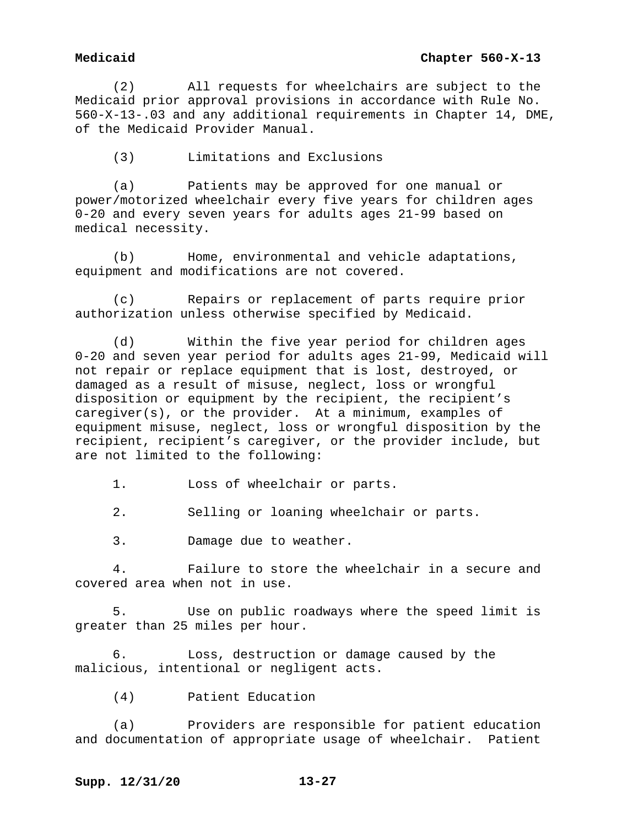# **Medicaid Chapter 560-X-13**

(2) All requests for wheelchairs are subject to the Medicaid prior approval provisions in accordance with Rule No. 560-X-13-.03 and any additional requirements in Chapter 14, DME, of the Medicaid Provider Manual.

(3) Limitations and Exclusions

(a) Patients may be approved for one manual or power/motorized wheelchair every five years for children ages 0-20 and every seven years for adults ages 21-99 based on medical necessity.

(b) Home, environmental and vehicle adaptations, equipment and modifications are not covered.

(c) Repairs or replacement of parts require prior authorization unless otherwise specified by Medicaid.

(d) Within the five year period for children ages 0-20 and seven year period for adults ages 21-99, Medicaid will not repair or replace equipment that is lost, destroyed, or damaged as a result of misuse, neglect, loss or wrongful disposition or equipment by the recipient, the recipient's caregiver(s), or the provider. At a minimum, examples of equipment misuse, neglect, loss or wrongful disposition by the recipient, recipient's caregiver, or the provider include, but are not limited to the following:

1. Loss of wheelchair or parts.

2. Selling or loaning wheelchair or parts.

3. Damage due to weather.

4. Failure to store the wheelchair in a secure and covered area when not in use.

5. Use on public roadways where the speed limit is greater than 25 miles per hour.

6. Loss, destruction or damage caused by the malicious, intentional or negligent acts.

(4) Patient Education

(a) Providers are responsible for patient education and documentation of appropriate usage of wheelchair. Patient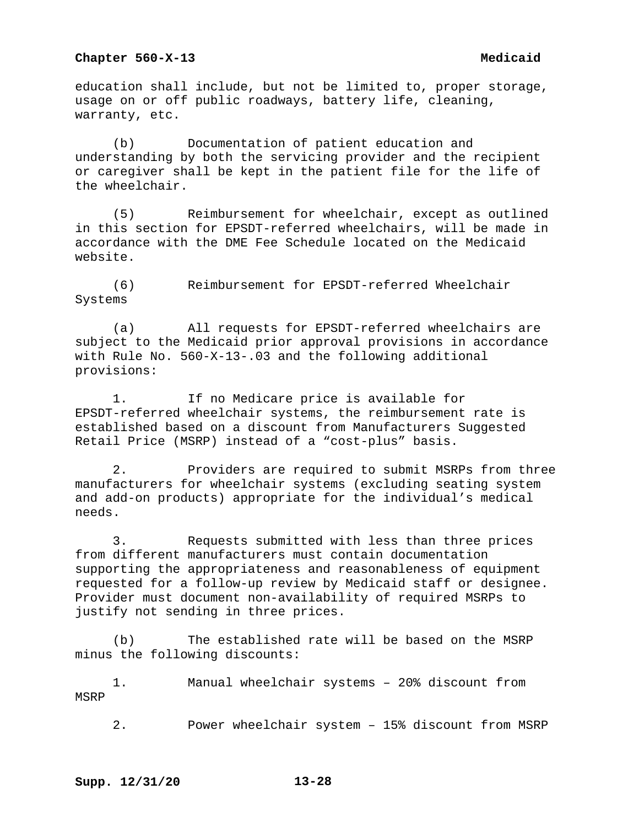education shall include, but not be limited to, proper storage, usage on or off public roadways, battery life, cleaning, warranty, etc.

(b) Documentation of patient education and understanding by both the servicing provider and the recipient or caregiver shall be kept in the patient file for the life of the wheelchair.

(5) Reimbursement for wheelchair, except as outlined in this section for EPSDT-referred wheelchairs, will be made in accordance with the DME Fee Schedule located on the Medicaid website.

(6) Reimbursement for EPSDT-referred Wheelchair Systems

(a) All requests for EPSDT-referred wheelchairs are subject to the Medicaid prior approval provisions in accordance with Rule No. 560-X-13-.03 and the following additional provisions:

1. If no Medicare price is available for EPSDT-referred wheelchair systems, the reimbursement rate is established based on a discount from Manufacturers Suggested Retail Price (MSRP) instead of a "cost-plus" basis.

2. Providers are required to submit MSRPs from three manufacturers for wheelchair systems (excluding seating system and add-on products) appropriate for the individual's medical needs.

3. Requests submitted with less than three prices from different manufacturers must contain documentation supporting the appropriateness and reasonableness of equipment requested for a follow-up review by Medicaid staff or designee. Provider must document non-availability of required MSRPs to justify not sending in three prices.

(b) The established rate will be based on the MSRP minus the following discounts:

1. Manual wheelchair systems – 20% discount from MSRP

2. Power wheelchair system – 15% discount from MSRP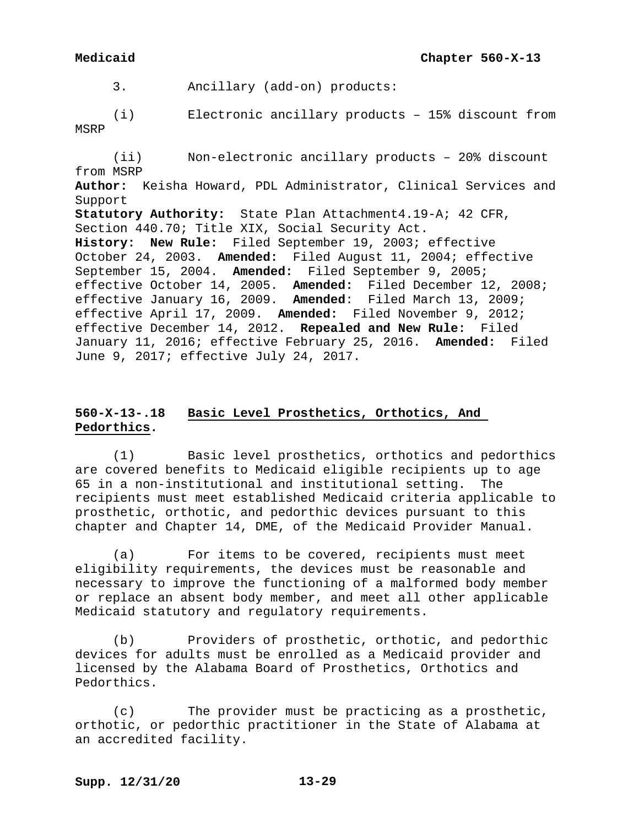3. Ancillary (add-on) products:

(i) Electronic ancillary products – 15% discount from MSRP

(ii) Non-electronic ancillary products – 20% discount from MSRP **Author:** Keisha Howard, PDL Administrator, Clinical Services and Support **Statutory Authority:** State Plan Attachment4.19-A; 42 CFR, Section 440.70; Title XIX, Social Security Act. **History: New Rule:** Filed September 19, 2003; effective October 24, 2003. **Amended:** Filed August 11, 2004; effective September 15, 2004. **Amended:** Filed September 9, 2005; effective October 14, 2005. **Amended:** Filed December 12, 2008; effective January 16, 2009. **Amended**: Filed March 13, 2009; effective April 17, 2009. **Amended:** Filed November 9, 2012; effective December 14, 2012. **Repealed and New Rule:** Filed January 11, 2016; effective February 25, 2016. **Amended:** Filed June 9, 2017; effective July 24, 2017.

# **560-X-13-.18 Basic Level Prosthetics, Orthotics, And Pedorthics.**

(1) Basic level prosthetics, orthotics and pedorthics are covered benefits to Medicaid eligible recipients up to age 65 in a non-institutional and institutional setting. The recipients must meet established Medicaid criteria applicable to prosthetic, orthotic, and pedorthic devices pursuant to this chapter and Chapter 14, DME, of the Medicaid Provider Manual.

(a) For items to be covered, recipients must meet eligibility requirements, the devices must be reasonable and necessary to improve the functioning of a malformed body member or replace an absent body member, and meet all other applicable Medicaid statutory and regulatory requirements.

(b) Providers of prosthetic, orthotic, and pedorthic devices for adults must be enrolled as a Medicaid provider and licensed by the Alabama Board of Prosthetics, Orthotics and Pedorthics.

(c) The provider must be practicing as a prosthetic, orthotic, or pedorthic practitioner in the State of Alabama at an accredited facility.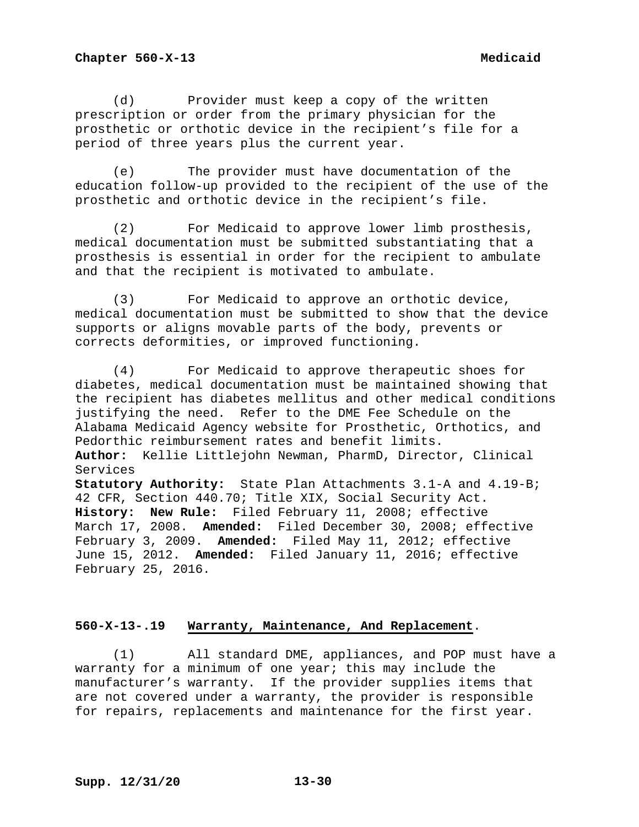(d) Provider must keep a copy of the written prescription or order from the primary physician for the prosthetic or orthotic device in the recipient's file for a period of three years plus the current year.

(e) The provider must have documentation of the education follow-up provided to the recipient of the use of the prosthetic and orthotic device in the recipient's file.

(2) For Medicaid to approve lower limb prosthesis, medical documentation must be submitted substantiating that a prosthesis is essential in order for the recipient to ambulate and that the recipient is motivated to ambulate.

(3) For Medicaid to approve an orthotic device, medical documentation must be submitted to show that the device supports or aligns movable parts of the body, prevents or corrects deformities, or improved functioning.

(4) For Medicaid to approve therapeutic shoes for diabetes, medical documentation must be maintained showing that the recipient has diabetes mellitus and other medical conditions justifying the need. Refer to the DME Fee Schedule on the Alabama Medicaid Agency website for Prosthetic, Orthotics, and Pedorthic reimbursement rates and benefit limits. **Author:** Kellie Littlejohn Newman, PharmD, Director, Clinical Services **Statutory Authority:** State Plan Attachments 3.1-A and 4.19-B; 42 CFR, Section 440.70; Title XIX, Social Security Act. **History: New Rule:** Filed February 11, 2008; effective March 17, 2008. **Amended:** Filed December 30, 2008; effective February 3, 2009. **Amended:** Filed May 11, 2012; effective June 15, 2012. **Amended:** Filed January 11, 2016; effective February 25, 2016.

## **560-X-13-.19 Warranty, Maintenance, And Replacement**.

(1) All standard DME, appliances, and POP must have a warranty for a minimum of one year; this may include the manufacturer's warranty. If the provider supplies items that are not covered under a warranty, the provider is responsible for repairs, replacements and maintenance for the first year.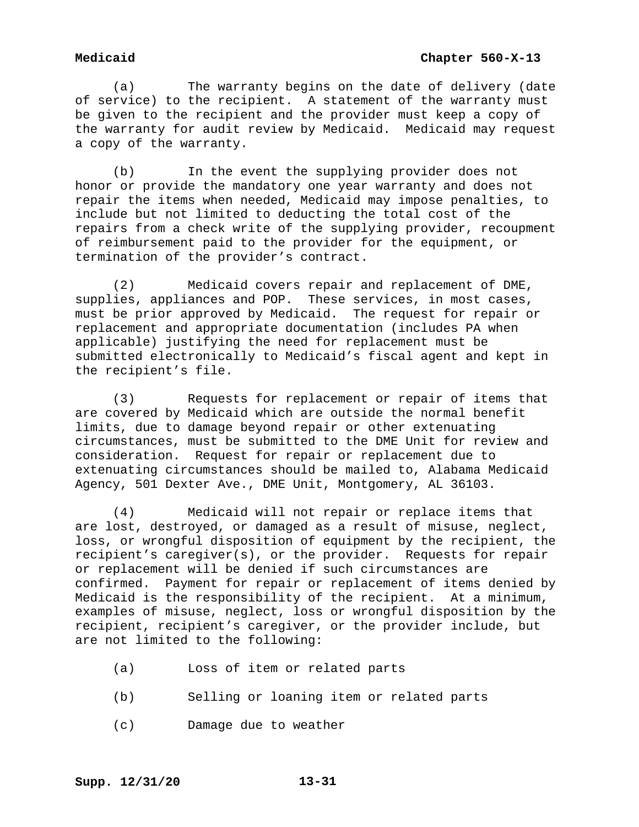(a) The warranty begins on the date of delivery (date of service) to the recipient. A statement of the warranty must be given to the recipient and the provider must keep a copy of the warranty for audit review by Medicaid. Medicaid may request a copy of the warranty.

(b) In the event the supplying provider does not honor or provide the mandatory one year warranty and does not repair the items when needed, Medicaid may impose penalties, to include but not limited to deducting the total cost of the repairs from a check write of the supplying provider, recoupment of reimbursement paid to the provider for the equipment, or termination of the provider's contract.

(2) Medicaid covers repair and replacement of DME, supplies, appliances and POP. These services, in most cases, must be prior approved by Medicaid. The request for repair or replacement and appropriate documentation (includes PA when applicable) justifying the need for replacement must be submitted electronically to Medicaid's fiscal agent and kept in the recipient's file.

(3) Requests for replacement or repair of items that are covered by Medicaid which are outside the normal benefit limits, due to damage beyond repair or other extenuating circumstances, must be submitted to the DME Unit for review and consideration. Request for repair or replacement due to extenuating circumstances should be mailed to, Alabama Medicaid Agency, 501 Dexter Ave., DME Unit, Montgomery, AL 36103.

(4) Medicaid will not repair or replace items that are lost, destroyed, or damaged as a result of misuse, neglect, loss, or wrongful disposition of equipment by the recipient, the recipient's caregiver(s), or the provider. Requests for repair or replacement will be denied if such circumstances are confirmed. Payment for repair or replacement of items denied by Medicaid is the responsibility of the recipient. At a minimum, examples of misuse, neglect, loss or wrongful disposition by the recipient, recipient's caregiver, or the provider include, but are not limited to the following:

- (a) Loss of item or related parts
- (b) Selling or loaning item or related parts
- (c) Damage due to weather